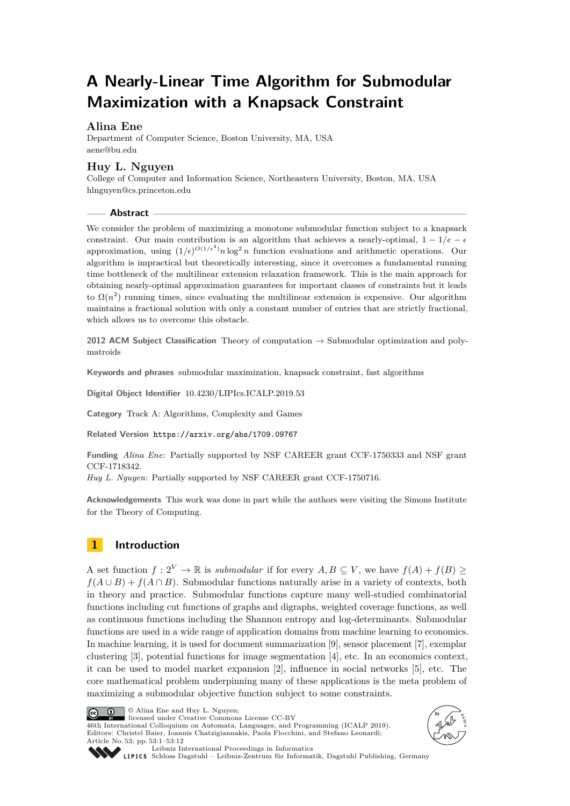# **A Nearly-Linear Time Algorithm for Submodular Maximization with a Knapsack Constraint**

# **Alina Ene**

Department of Computer Science, Boston University, MA, USA [aene@bu.edu](mailto:aene@bu.edu)

# **Huy L. Nguyen**

College of Computer and Information Science, Northeastern University, Boston, MA, USA [hlnguyen@cs.princeton.edu](mailto:hlnguyen@cs.princeton.edu)

#### **Abstract**

We consider the problem of maximizing a monotone submodular function subject to a knapsack constraint. Our main contribution is an algorithm that achieves a nearly-optimal,  $1 - 1/e - \epsilon$ approximation, using  $(1/\epsilon)^{O(1/\epsilon^4)} n \log^2 n$  function evaluations and arithmetic operations. Our algorithm is impractical but theoretically interesting, since it overcomes a fundamental running time bottleneck of the multilinear extension relaxation framework. This is the main approach for obtaining nearly-optimal approximation guarantees for important classes of constraints but it leads to  $\Omega(n^2)$  running times, since evaluating the multilinear extension is expensive. Our algorithm maintains a fractional solution with only a constant number of entries that are strictly fractional, which allows us to overcome this obstacle.

**2012 ACM Subject Classification** Theory of computation → Submodular optimization and polymatroids

**Keywords and phrases** submodular maximization, knapsack constraint, fast algorithms

**Digital Object Identifier** [10.4230/LIPIcs.ICALP.2019.53](https://doi.org/10.4230/LIPIcs.ICALP.2019.53)

**Category** Track A: Algorithms, Complexity and Games

**Related Version** <https://arxiv.org/abs/1709.09767>

**Funding** *Alina Ene*: Partially supported by NSF CAREER grant CCF-1750333 and NSF grant CCF-1718342.

*Huy L. Nguyen*: Partially supported by NSF CAREER grant CCF-1750716.

**Acknowledgements** This work was done in part while the authors were visiting the Simons Institute for the Theory of Computing.

# **1 Introduction**

A set function  $f: 2^V \to \mathbb{R}$  is *submodular* if for every  $A, B \subseteq V$ , we have  $f(A) + f(B) \ge$  $f(A \cup B) + f(A \cap B)$ . Submodular functions naturally arise in a variety of contexts, both in theory and practice. Submodular functions capture many well-studied combinatorial functions including cut functions of graphs and digraphs, weighted coverage functions, as well as continuous functions including the Shannon entropy and log-determinants. Submodular functions are used in a wide range of application domains from machine learning to economics. In machine learning, it is used for document summarization [\[9\]](#page-11-0), sensor placement [\[7\]](#page-11-1), exemplar clustering [\[3\]](#page-10-0), potential functions for image segmentation [\[4\]](#page-10-1), etc. In an economics context, it can be used to model market expansion [\[2\]](#page-10-2), influence in social networks [\[5\]](#page-10-3), etc. The core mathematical problem underpinning many of these applications is the meta problem of maximizing a submodular objective function subject to some constraints.



licensed under Creative Commons License CC-BY 46th International Colloquium on Automata, Languages, and Programming (ICALP 2019).

Editors: Christel Baier, Ioannis Chatzigiannakis, Paola Flocchini, and Stefano Leonardi; Article No. 53; pp. 53:1–53[:12](#page-11-2)





[Leibniz International Proceedings in Informatics](https://www.dagstuhl.de/lipics/)

[Schloss Dagstuhl – Leibniz-Zentrum für Informatik, Dagstuhl Publishing, Germany](https://www.dagstuhl.de)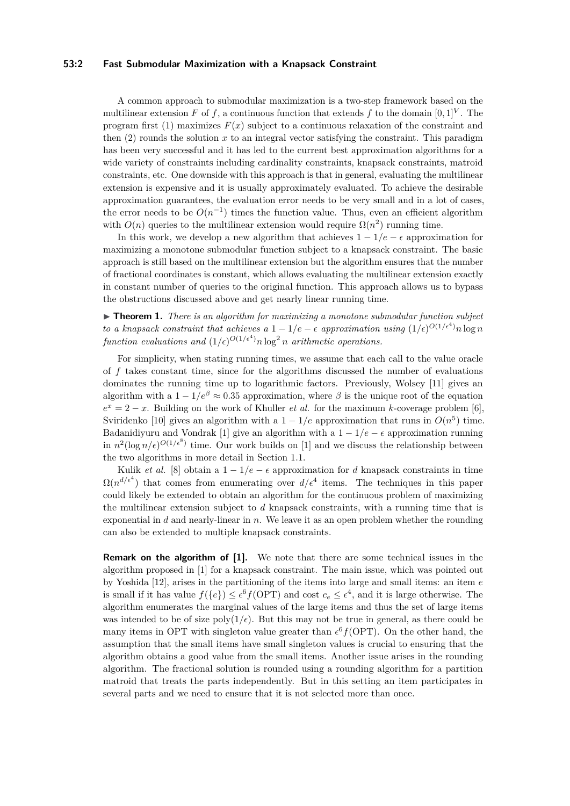#### **53:2 Fast Submodular Maximization with a Knapsack Constraint**

A common approach to submodular maximization is a two-step framework based on the multilinear extension *F* of *f*, a continuous function that extends *f* to the domain  $[0, 1]^{V}$ . The program first (1) maximizes  $F(x)$  subject to a continuous relaxation of the constraint and then  $(2)$  rounds the solution  $x$  to an integral vector satisfying the constraint. This paradigm has been very successful and it has led to the current best approximation algorithms for a wide variety of constraints including cardinality constraints, knapsack constraints, matroid constraints, etc. One downside with this approach is that in general, evaluating the multilinear extension is expensive and it is usually approximately evaluated. To achieve the desirable approximation guarantees, the evaluation error needs to be very small and in a lot of cases, the error needs to be  $O(n^{-1})$  times the function value. Thus, even an efficient algorithm with  $O(n)$  queries to the multilinear extension would require  $\Omega(n^2)$  running time.

In this work, we develop a new algorithm that achieves  $1 - 1/e - \epsilon$  approximation for maximizing a monotone submodular function subject to a knapsack constraint. The basic approach is still based on the multilinear extension but the algorithm ensures that the number of fractional coordinates is constant, which allows evaluating the multilinear extension exactly in constant number of queries to the original function. This approach allows us to bypass the obstructions discussed above and get nearly linear running time.

▶ **Theorem 1.** *There is an algorithm for maximizing a monotone submodular function subject to a knapsack constraint that achieves a*  $1 - 1/e - \epsilon$  *approximation using*  $(1/\epsilon)^{O(1/\epsilon^4)} n \log n$ *function evaluations and*  $(1/\epsilon)^{O(1/\epsilon^4)} n \log^2 n$  *arithmetic operations.* 

For simplicity, when stating running times, we assume that each call to the value oracle of *f* takes constant time, since for the algorithms discussed the number of evaluations dominates the running time up to logarithmic factors. Previously, Wolsey [\[11\]](#page-11-3) gives an algorithm with a  $1 - 1/e^{\beta} \approx 0.35$  approximation, where  $\beta$  is the unique root of the equation  $e^x = 2 - x$ . Building on the work of Khuller *et al.* for the maximum *k*-coverage problem [\[6\]](#page-10-4), Sviridenko [\[10\]](#page-11-4) gives an algorithm with a  $1 - 1/e$  approximation that runs in  $O(n^5)$  time. Badanidiyuru and Vondrak [\[1\]](#page-10-5) give an algorithm with a  $1 - 1/e - \epsilon$  approximation running in  $n^2(\log n/\epsilon)^{O(1/\epsilon^8)}$  time. Our work builds on [\[1\]](#page-10-5) and we discuss the relationship between the two algorithms in more detail in Section [1.1.](#page-2-0)

Kulik *et al.* [\[8\]](#page-11-5) obtain a  $1 - 1/e - \epsilon$  approximation for *d* knapsack constraints in time  $\Omega(n^{d/\epsilon^4})$  that comes from enumerating over  $d/\epsilon^4$  items. The techniques in this paper could likely be extended to obtain an algorithm for the continuous problem of maximizing the multilinear extension subject to *d* knapsack constraints, with a running time that is exponential in *d* and nearly-linear in *n*. We leave it as an open problem whether the rounding can also be extended to multiple knapsack constraints.

**Remark on the algorithm of [\[1\]](#page-10-5).** We note that there are some technical issues in the algorithm proposed in [\[1\]](#page-10-5) for a knapsack constraint. The main issue, which was pointed out by Yoshida [\[12\]](#page-11-6), arises in the partitioning of the items into large and small items: an item *e* is small if it has value  $f({e}) \leq e^6 f(OPT)$  and cost  $c_e \leq e^4$ , and it is large otherwise. The algorithm enumerates the marginal values of the large items and thus the set of large items was intended to be of size  $poly(1/\epsilon)$ . But this may not be true in general, as there could be many items in OPT with singleton value greater than  $\epsilon^6 f(\text{OPT})$ . On the other hand, the assumption that the small items have small singleton values is crucial to ensuring that the algorithm obtains a good value from the small items. Another issue arises in the rounding algorithm. The fractional solution is rounded using a rounding algorithm for a partition matroid that treats the parts independently. But in this setting an item participates in several parts and we need to ensure that it is not selected more than once.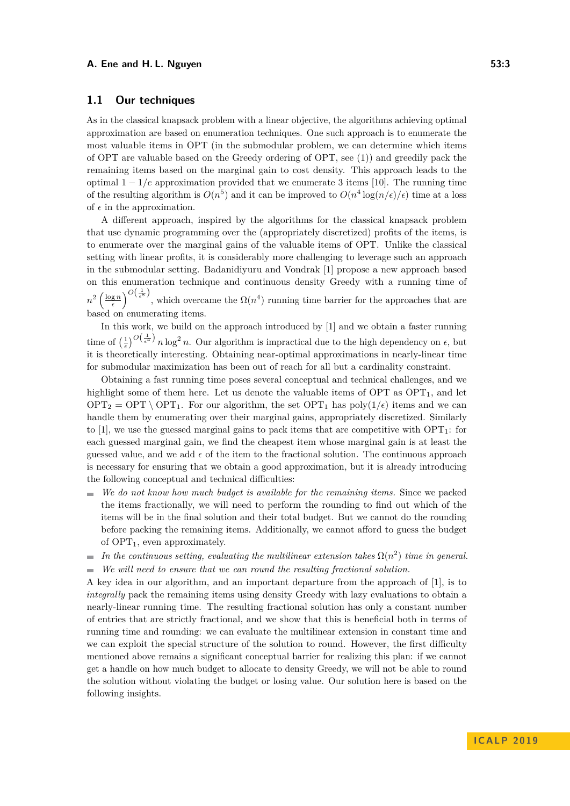#### **A. Ene and H. L. Nguyen 53:3**

## <span id="page-2-0"></span>**1.1 Our techniques**

As in the classical knapsack problem with a linear objective, the algorithms achieving optimal approximation are based on enumeration techniques. One such approach is to enumerate the most valuable items in OPT (in the submodular problem, we can determine which items of OPT are valuable based on the Greedy ordering of OPT, see [\(1\)](#page-5-0)) and greedily pack the remaining items based on the marginal gain to cost density. This approach leads to the optimal  $1 - 1/e$  approximation provided that we enumerate 3 items [\[10\]](#page-11-4). The running time of the resulting algorithm is  $O(n^5)$  and it can be improved to  $O(n^4 \log(n/\epsilon)/\epsilon)$  time at a loss of  $\epsilon$  in the approximation.

A different approach, inspired by the algorithms for the classical knapsack problem that use dynamic programming over the (appropriately discretized) profits of the items, is to enumerate over the marginal gains of the valuable items of OPT. Unlike the classical setting with linear profits, it is considerably more challenging to leverage such an approach in the submodular setting. Badanidiyuru and Vondrak [\[1\]](#page-10-5) propose a new approach based on this enumeration technique and continuous density Greedy with a running time of  $n^2 \left(\frac{\log n}{\epsilon}\right)^{O\left(\frac{1}{\epsilon^8}\right)}$ , which overcame the  $\Omega(n^4)$  running time barrier for the approaches that are based on enumerating items.

In this work, we build on the approach introduced by [\[1\]](#page-10-5) and we obtain a faster running time of  $\left(\frac{1}{\epsilon}\right)^{O\left(\frac{1}{\epsilon^4}\right)} n \log^2 n$ . Our algorithm is impractical due to the high dependency on  $\epsilon$ , but it is theoretically interesting. Obtaining near-optimal approximations in nearly-linear time for submodular maximization has been out of reach for all but a cardinality constraint.

Obtaining a fast running time poses several conceptual and technical challenges, and we highlight some of them here. Let us denote the valuable items of  $OPT$  as  $OPT_1$ , and let  $\text{OPT}_2 = \text{OPT} \setminus \text{OPT}_1$ . For our algorithm, the set  $\text{OPT}_1$  has poly $(1/\epsilon)$  items and we can handle them by enumerating over their marginal gains, appropriately discretized. Similarly to [\[1\]](#page-10-5), we use the guessed marginal gains to pack items that are competitive with  $OPT_1$ : for each guessed marginal gain, we find the cheapest item whose marginal gain is at least the guessed value, and we add  $\epsilon$  of the item to the fractional solution. The continuous approach is necessary for ensuring that we obtain a good approximation, but it is already introducing the following conceptual and technical difficulties:

- *We do not know how much budget is available for the remaining items.* Since we packed the items fractionally, we will need to perform the rounding to find out which of the items will be in the final solution and their total budget. But we cannot do the rounding before packing the remaining items. Additionally, we cannot afford to guess the budget of  $OPT_1$ , even approximately.
- *In the continuous setting, evaluating the multilinear extension takes*  $\Omega(n^2)$  *time in general.* m.
- *We will need to ensure that we can round the resulting fractional solution.*  $\blacksquare$

A key idea in our algorithm, and an important departure from the approach of [\[1\]](#page-10-5), is to *integrally* pack the remaining items using density Greedy with lazy evaluations to obtain a nearly-linear running time. The resulting fractional solution has only a constant number of entries that are strictly fractional, and we show that this is beneficial both in terms of running time and rounding: we can evaluate the multilinear extension in constant time and we can exploit the special structure of the solution to round. However, the first difficulty mentioned above remains a significant conceptual barrier for realizing this plan: if we cannot get a handle on how much budget to allocate to density Greedy, we will not be able to round the solution without violating the budget or losing value. Our solution here is based on the following insights.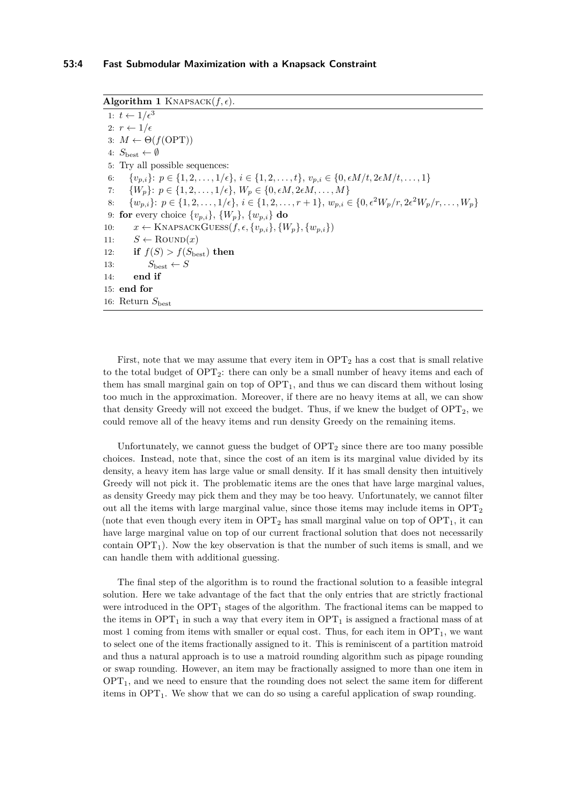<span id="page-3-0"></span> $\overline{\textbf{Algorithm 1}}$  KNAPSACK $(f, \epsilon)$ .

1:  $t \leftarrow 1/\epsilon^3$ 2:  $r \leftarrow 1/\epsilon$ 3:  $M \leftarrow \Theta(f(OPT))$ 4:  $S_{\text{best}} \leftarrow \emptyset$ 5: Try all possible sequences: 6:  $\{v_{p,i}\}\colon p \in \{1, 2, \ldots, 1/\epsilon\}, i \in \{1, 2, \ldots, t\}, v_{p,i} \in \{0, \epsilon M/t, 2\epsilon M/t, \ldots, 1\}$ 7:  $\{W_p\}$ :  $p \in \{1, 2, \ldots, 1/\epsilon\}, W_p \in \{0, \epsilon M, 2\epsilon M, \ldots, M\}$ 8:  $\{w_{p,i}\}\colon p\in\{1,2,\ldots,1/\epsilon\}, i\in\{1,2,\ldots,r+1\}, w_{p,i}\in\{0,\epsilon^2W_p/r,2\epsilon^2W_p/r,\ldots,W_p\}$ 9: **for** every choice  $\{v_{p,i}\}, \{W_p\}, \{w_{p,i}\}\$ **do** 10:  $x \leftarrow \text{KNAPSACKGUES}(f, \epsilon, \{v_{p,i}\}, \{W_p\}, \{w_{p,i}\})$ 11:  $S \leftarrow \text{Round}(x)$ 12: **if**  $f(S) > f(S_{\text{best}})$  **then** 13:  $S_{\text{best}} \leftarrow S$ 14: **end if** 15: **end for** 16: Return  $S_{\text{best}}$ 

First, note that we may assume that every item in  $\text{OPT}_2$  has a cost that is small relative to the total budget of  $\text{OPT}_2$ : there can only be a small number of heavy items and each of them has small marginal gain on top of  $OPT_1$ , and thus we can discard them without losing too much in the approximation. Moreover, if there are no heavy items at all, we can show that density Greedy will not exceed the budget. Thus, if we knew the budget of  $\text{OPT}_2$ , we could remove all of the heavy items and run density Greedy on the remaining items.

Unfortunately, we cannot guess the budget of  $\text{OPT}_2$  since there are too many possible choices. Instead, note that, since the cost of an item is its marginal value divided by its density, a heavy item has large value or small density. If it has small density then intuitively Greedy will not pick it. The problematic items are the ones that have large marginal values, as density Greedy may pick them and they may be too heavy. Unfortunately, we cannot filter out all the items with large marginal value, since those items may include items in  $OPT_2$ (note that even though every item in  $\text{OPT}_2$  has small marginal value on top of  $\text{OPT}_1$ , it can have large marginal value on top of our current fractional solution that does not necessarily contain  $OPT_1$ ). Now the key observation is that the number of such items is small, and we can handle them with additional guessing.

The final step of the algorithm is to round the fractional solution to a feasible integral solution. Here we take advantage of the fact that the only entries that are strictly fractional were introduced in the  $\text{OPT}_1$  stages of the algorithm. The fractional items can be mapped to the items in  $OPT_1$  in such a way that every item in  $OPT_1$  is assigned a fractional mass of at most 1 coming from items with smaller or equal cost. Thus, for each item in  $\text{OPT}_1$ , we want to select one of the items fractionally assigned to it. This is reminiscent of a partition matroid and thus a natural approach is to use a matroid rounding algorithm such as pipage rounding or swap rounding. However, an item may be fractionally assigned to more than one item in  $OPT<sub>1</sub>$ , and we need to ensure that the rounding does not select the same item for different items in  $OPT_1$ . We show that we can do so using a careful application of swap rounding.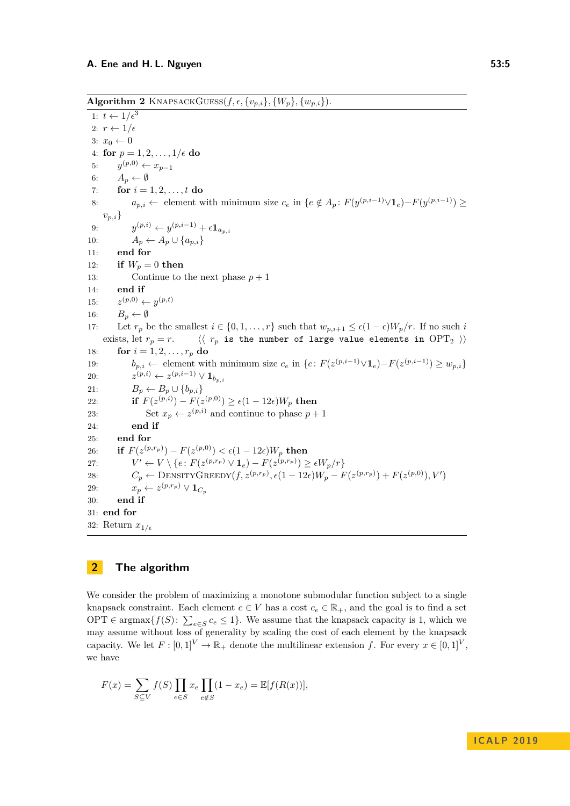<span id="page-4-0"></span> $\overline{\textbf{Algorithm 2 KNAPSACKGUES}(f, \epsilon, \{v_{p,i}\}, \{W_p\}, \{w_{p,i}\})}.$ 

1:  $t \leftarrow 1/\epsilon^3$ 2:  $r \leftarrow 1/\epsilon$ 3:  $x_0 \leftarrow 0$ 4: **for**  $p = 1, 2, ..., 1/\epsilon$  **do** 5:  $y^{(p,0)}$  ←  $x_{p-1}$ 6:  $A_p \leftarrow \emptyset$ 7: **for**  $i = 1, 2, ..., t$  **do** 8:  $a_{p,i} \leftarrow$  element with minimum size  $c_e$  in  $\{e \notin A_p : F(y^{(p,i-1)} \vee \mathbf{1}_e) - F(y^{(p,i-1)}) \geq 0\}$  $v_{p,i}$ 9: *y*  $(y, i)$  ←  $y^{(p,i-1)}$  +  $\epsilon$ **1**<sub>*a*<sub>*p,i*</sub></sub> 10:  $A_p \leftarrow A_p \cup \{a_{p,i}\}\$ 11: **end for** 12: **if**  $W_p = 0$  **then** 13: Continue to the next phase  $p + 1$ 14: **end if** 15: *z*  $(y,0) \leftarrow y^{(p,t)}$ 16:  $B_p \leftarrow \emptyset$ 17: Let  $r_p$  be the smallest  $i \in \{0, 1, \ldots, r\}$  such that  $w_{p,i+1} \leq \epsilon (1 - \epsilon) W_p / r$ . If no such *i* exists, let  $r_p = r$ .  $\langle \langle r_p \rangle$  is the number of large value elements in OPT<sub>2</sub>  $\rangle$ 18: **for**  $i = 1, 2, ..., r_p$  **do** 19: *b*<sub>*p*,*i*</sub> ← element with minimum size  $c_e$  in  $\{e: F(z^{(p,i-1)} \vee \mathbf{1}_e) - F(z^{(p,i-1)}) \geq w_{p,i}\}$ 20: *z* (*p,i*) ← *z* (*p,i*−1) ∨ **1***bp,i* 21:  $B_p \leftarrow B_p \cup \{b_{p,i}\}\$ 22: **if**  $F(z^{(p,i)}) - F(z^{(p,0)}) \ge \epsilon(1 - 12\epsilon)W_p$  then 23: Set  $x_p \leftarrow z^{(p,i)}$  and continue to phase  $p+1$ 24: **end if** 25: **end for**  $26:$  **if**  $F(z^{(p,r_p)}) - F(z^{(p,0)}) < \epsilon(1-12\epsilon)W_p$  then 27: *V*  $0 <sup>l</sup> \leftarrow V \setminus \{e \colon F(z^{(p,r_p)} \vee \mathbf{1}_e) - F(z^{(p,r_p)}) \geq \epsilon W_p/r\}$ 28:  $C_p \leftarrow \text{DENSITYGREEDY}(f, z^{(p,r_p)}, \epsilon(1 - 12\epsilon)W_p - F(z^{(p,r_p)}) + F(z^{(p,0)}), V')$ 29:  $x_p \leftarrow z^{(p,r_p)} \vee \mathbf{1}_{C_p}$ 30: **end if** 31: **end for** 32: Return  $x_{1/\epsilon}$ 

# **2 The algorithm**

We consider the problem of maximizing a monotone submodular function subject to a single knapsack constraint. Each element  $e \in V$  has a cost  $c_e \in \mathbb{R}_+$ , and the goal is to find a set OPT  $\in$  argmax $\{f(S): \sum_{e \in S} c_e \leq 1\}$ . We assume that the knapsack capacity is 1, which we may assume without loss of generality by scaling the cost of each element by the knapsack capacity. We let  $F : [0,1]^V \to \mathbb{R}_+$  denote the multilinear extension f. For every  $x \in [0,1]^V$ , we have

$$
F(x) = \sum_{S \subseteq V} f(S) \prod_{e \in S} x_e \prod_{e \notin S} (1 - x_e) = \mathbb{E}[f(R(x))],
$$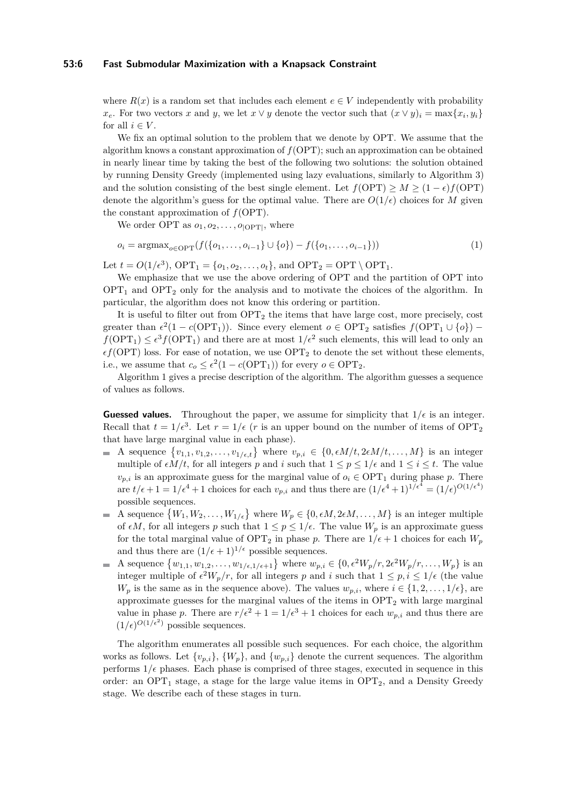#### **53:6 Fast Submodular Maximization with a Knapsack Constraint**

where  $R(x)$  is a random set that includes each element  $e \in V$  independently with probability *x*<sub>e</sub>. For two vectors *x* and *y*, we let  $x \vee y$  denote the vector such that  $(x \vee y)_i = \max\{x_i, y_i\}$ for all  $i \in V$ .

We fix an optimal solution to the problem that we denote by OPT. We assume that the algorithm knows a constant approximation of  $f(OPT)$ ; such an approximation can be obtained in nearly linear time by taking the best of the following two solutions: the solution obtained by running Density Greedy (implemented using lazy evaluations, similarly to Algorithm [3\)](#page-7-0) and the solution consisting of the best single element. Let  $f(OPT) \geq M \geq (1 - \epsilon) f(OPT)$ denote the algorithm's guess for the optimal value. There are  $O(1/\epsilon)$  choices for *M* given the constant approximation of *f*(OPT).

<span id="page-5-0"></span>We order OPT as  $o_1, o_2, \ldots, o_{|OPT|}$ , where

$$
o_i = \operatorname{argmax}_{o \in \text{OPT}}(f(\{o_1, \ldots, o_{i-1}\} \cup \{o\}) - f(\{o_1, \ldots, o_{i-1}\}))
$$
\n(1)

Let  $t = O(1/\epsilon^3)$ , OPT<sub>1</sub> = { $o_1, o_2, ..., o_t$ }, and OPT<sub>2</sub> = OPT \ OPT<sub>1</sub>.

We emphasize that we use the above ordering of OPT and the partition of OPT into  $OPT_1$  and  $OPT_2$  only for the analysis and to motivate the choices of the algorithm. In particular, the algorithm does not know this ordering or partition.

It is useful to filter out from  $OPT_2$  the items that have large cost, more precisely, cost greater than  $\epsilon^2(1 - c(OPT_1))$ . Since every element  $o \in OPT_2$  satisfies  $f(OPT_1 \cup \{o\})$  –  $f(\text{OPT}_1) \leq \epsilon^3 f(\text{OPT}_1)$  and there are at most  $1/\epsilon^2$  such elements, this will lead to only an  $\epsilon f(\text{OPT})$  loss. For ease of notation, we use  $\text{OPT}_2$  to denote the set without these elements, i.e., we assume that  $c_o \leq \epsilon^2 (1 - c(OPT_1))$  for every  $o \in OPT_2$ .

Algorithm [1](#page-3-0) gives a precise description of the algorithm. The algorithm guesses a sequence of values as follows.

**Guessed values.** Throughout the paper, we assume for simplicity that  $1/\epsilon$  is an integer. Recall that  $t = 1/\epsilon^3$ . Let  $r = 1/\epsilon$  (*r* is an upper bound on the number of items of OPT<sub>2</sub> that have large marginal value in each phase).

- A sequence  $\{v_{1,1}, v_{1,2}, \ldots, v_{1/\epsilon,t}\}\$  where  $v_{p,i} \in \{0, \epsilon M/t, 2\epsilon M/t, \ldots, M\}\$ is an integer multiple of  $\epsilon M/t$ , for all integers p and i such that  $1 \leq p \leq 1/\epsilon$  and  $1 \leq i \leq t$ . The value  $v_{p,i}$  is an approximate guess for the marginal value of  $o_i \in \text{OPT}_1$  during phase *p*. There are  $t/\epsilon + 1 = 1/\epsilon^4 + 1$  choices for each  $v_{p,i}$  and thus there are  $(1/\epsilon^4 + 1)^{1/\epsilon^4} = (1/\epsilon)^{O(1/\epsilon^4)}$ possible sequences.
- A sequence  $\{W_1, W_2, \ldots, W_{1/\epsilon}\}\$  where  $W_p \in \{0, \epsilon M, 2\epsilon M, \ldots, M\}\$  is an integer multiple of  $\epsilon M$ , for all integers *p* such that  $1 \leq p \leq 1/\epsilon$ . The value  $W_p$  is an approximate guess for the total marginal value of  $\text{OPT}_2$  in phase *p*. There are  $1/\epsilon + 1$  choices for each  $W_p$ and thus there are  $(1/\epsilon + 1)^{1/\epsilon}$  possible sequences.
- A sequence  $\{w_{1,1}, w_{1,2}, \ldots, w_{1/\epsilon, 1/\epsilon+1}\}\$  where  $w_{p,i} \in \{0, \epsilon^2 W_p/r, 2\epsilon^2 W_p/r, \ldots, W_p\}\$ is an integer multiple of  $\epsilon^2 W_p/r$ , for all integers p and *i* such that  $1 \leq p, i \leq 1/\epsilon$  (the value *W<sub>p</sub>* is the same as in the sequence above). The values  $w_{p,i}$ , where  $i \in \{1, 2, \ldots, 1/\epsilon\}$ , are approximate guesses for the marginal values of the items in  $\text{OPT}_2$  with large marginal value in phase *p*. There are  $r/\epsilon^2 + 1 = 1/\epsilon^3 + 1$  choices for each  $w_{p,i}$  and thus there are  $(1/\epsilon)^{O(1/\epsilon^2)}$  possible sequences.

The algorithm enumerates all possible such sequences. For each choice, the algorithm works as follows. Let  $\{v_{p,i}\}, \{W_p\}$ , and  $\{w_{p,i}\}$  denote the current sequences. The algorithm performs  $1/\epsilon$  phases. Each phase is comprised of three stages, executed in sequence in this order: an OPT<sub>1</sub> stage, a stage for the large value items in  $OPT_2$ , and a Density Greedy stage. We describe each of these stages in turn.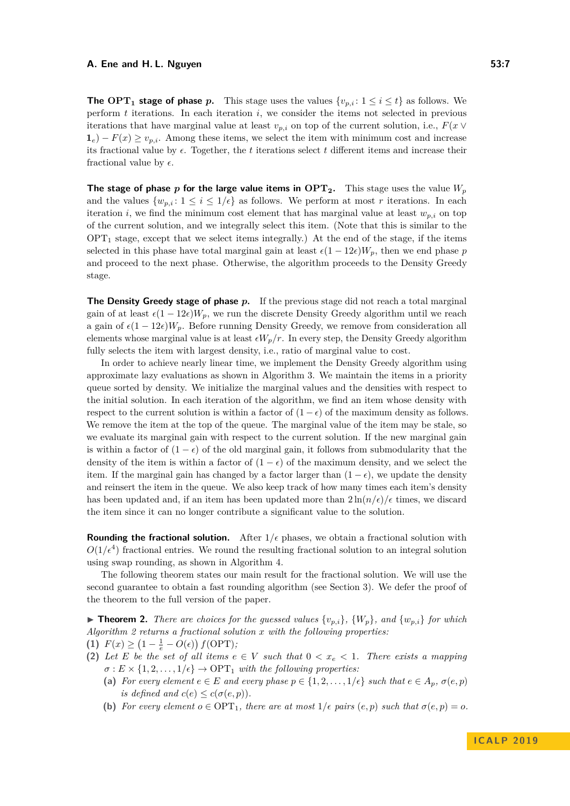#### **A. Ene and H. L. Nguyen 53:7**

**The** OPT<sub>1</sub> **stage of phase** *p*. This stage uses the values  $\{v_{p,i}: 1 \leq i \leq t\}$  as follows. We perform *t* iterations. In each iteration *i*, we consider the items not selected in previous iterations that have marginal value at least  $v_{p,i}$  on top of the current solution, i.e.,  $F(x \vee$  $\mathbf{1}_e$ ) − *F*(*x*) ≥ *v*<sub>*p*,*i*</sub>. Among these items, we select the item with minimum cost and increase its fractional value by  $\epsilon$ . Together, the *t* iterations select *t* different items and increase their fractional value by  $\epsilon$ .

**The stage of phase** *p* **for the large value items in**  $\text{OPT}_2$ **.** This stage uses the value  $W_p$ and the values  $\{w_{p,i}: 1 \leq i \leq 1/\epsilon\}$  as follows. We perform at most r iterations. In each iteration *i*, we find the minimum cost element that has marginal value at least  $w_{p,i}$  on top of the current solution, and we integrally select this item. (Note that this is similar to the  $OPT_1$  stage, except that we select items integrally.) At the end of the stage, if the items selected in this phase have total marginal gain at least  $\epsilon (1 - 12\epsilon)W_p$ , then we end phase *p* and proceed to the next phase. Otherwise, the algorithm proceeds to the Density Greedy stage.

**The Density Greedy stage of phase** *p***.** If the previous stage did not reach a total marginal gain of at least  $\epsilon (1 - 12\epsilon)W_p$ , we run the discrete Density Greedy algorithm until we reach a gain of  $\epsilon (1 - 12\epsilon)W_p$ . Before running Density Greedy, we remove from consideration all elements whose marginal value is at least  $\epsilon W_p/r$ . In every step, the Density Greedy algorithm fully selects the item with largest density, i.e., ratio of marginal value to cost.

In order to achieve nearly linear time, we implement the Density Greedy algorithm using approximate lazy evaluations as shown in Algorithm [3.](#page-7-0) We maintain the items in a priority queue sorted by density. We initialize the marginal values and the densities with respect to the initial solution. In each iteration of the algorithm, we find an item whose density with respect to the current solution is within a factor of  $(1 - \epsilon)$  of the maximum density as follows. We remove the item at the top of the queue. The marginal value of the item may be stale, so we evaluate its marginal gain with respect to the current solution. If the new marginal gain is within a factor of  $(1 - \epsilon)$  of the old marginal gain, it follows from submodularity that the density of the item is within a factor of  $(1 - \epsilon)$  of the maximum density, and we select the item. If the marginal gain has changed by a factor larger than  $(1 - \epsilon)$ , we update the density and reinsert the item in the queue. We also keep track of how many times each item's density has been updated and, if an item has been updated more than  $2 \ln(n/\epsilon)/\epsilon$  times, we discard the item since it can no longer contribute a significant value to the solution.

**Rounding the fractional solution.** After  $1/\epsilon$  phases, we obtain a fractional solution with  $O(1/\epsilon^4)$  fractional entries. We round the resulting fractional solution to an integral solution using swap rounding, as shown in Algorithm [4.](#page-8-0)

The following theorem states our main result for the fractional solution. We will use the second guarantee to obtain a fast rounding algorithm (see Section [3\)](#page-7-1). We defer the proof of the theorem to the full version of the paper.

<span id="page-6-0"></span>**Find 1.** There are choices for the guessed values  $\{v_{p,i}\}\$ ,  $\{W_p\}$ , and  $\{w_{p,i}\}$  for which *Algorithm [2](#page-4-0) returns a fractional solution x with the following properties:*

- (1)  $F(x) \geq (1 \frac{1}{e} O(\epsilon)) f(\text{OPT});$
- **(2)** Let E be the set of all items  $e \in V$  such that  $0 < x_e < 1$ . There exists a mapping  $\sigma$  :  $E \times \{1, 2, \ldots, 1/\epsilon\} \rightarrow \text{OPT}_1$  *with the following properties:* 
	- (a) *For every element*  $e \in E$  *and every phase*  $p \in \{1, 2, \ldots, 1/e\}$  *such that*  $e \in A_p$ *,*  $\sigma(e, p)$ *is defined and*  $c(e) \leq c(\sigma(e, p))$ *.*
	- **(b)** For every element  $o \in \text{OPT}_1$ , there are at most  $1/\epsilon$  pairs  $(e, p)$  such that  $\sigma(e, p) = o$ .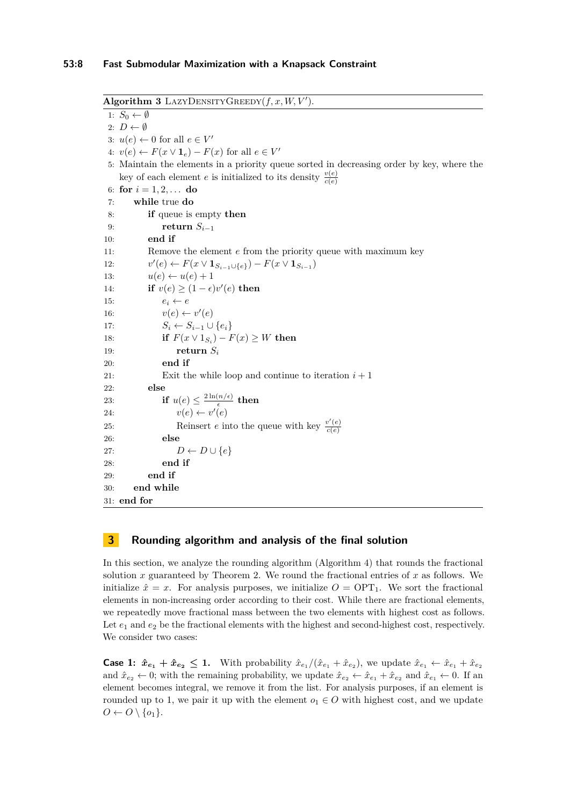#### **53:8 Fast Submodular Maximization with a Knapsack Constraint**

<span id="page-7-0"></span> $\overline{\textbf{Algorithm 3} }$  LAZYDENSITYGREEDY $(f, x, W, V')$ . 1:  $S_0 \leftarrow \emptyset$ 2:  $D \leftarrow \emptyset$ 3:  $u(e) \leftarrow 0$  for all  $e \in V'$ 4: *v*(*e*) ← *F*(*x* ∨ **1**<sub>*e*</sub>) − *F*(*x*) for all *e* ∈ *V*<sup>*'*</sup> 5: Maintain the elements in a priority queue sorted in decreasing order by key, where the key of each element *e* is initialized to its density  $\frac{v(e)}{c(e)}$ 6: **for**  $i = 1, 2, ...$  **do** 7: **while** true **do** 8: **if** queue is empty **then** 9: **return**  $S_{i-1}$ 10: **end if** 11: Remove the element *e* from the priority queue with maximum key  $12:$  $P(e) \leftarrow F(x \vee \mathbf{1}_{S_{i-1} \cup \{e\}}) - F(x \vee \mathbf{1}_{S_{i-1}})$ 13:  $u(e) \leftarrow u(e) + 1$ 14: **if**  $v(e) \geq (1 - \epsilon)v'(e)$  then 15:  $e_i \leftarrow e$ 16:  $v(e) \leftarrow v'(e)$ 17:  $S_i \leftarrow S_{i-1} \cup \{e_i\}$ 18: **if**  $F(x \vee 1_{S_i}) - F(x) \ge W$  **then** 19: **return**  $S_i$ 20: **end if** 21: Exit the while loop and continue to iteration  $i + 1$ 22: **else** 23: **if**  $u(e) \leq \frac{2 \ln(n/\epsilon)}{\epsilon}$  $\frac{(n/\epsilon)}{\epsilon}$  then 24:  $v(e) \leftarrow v'(e)$ 25: Reinsert *e* into the queue with key  $\frac{v'(e)}{c(e)}$ *c*(*e*) 26: **else** 27:  $D \leftarrow D \cup \{e\}$ 28: **end if** 29: **end if** 30: **end while** 31: **end for**

# <span id="page-7-1"></span>**3 Rounding algorithm and analysis of the final solution**

In this section, we analyze the rounding algorithm (Algorithm [4\)](#page-8-0) that rounds the fractional solution  $x$  guaranteed by Theorem [2.](#page-6-0) We round the fractional entries of  $x$  as follows. We initialize  $\hat{x} = x$ . For analysis purposes, we initialize  $O = \text{OPT}_1$ . We sort the fractional elements in non-increasing order according to their cost. While there are fractional elements, we repeatedly move fractional mass between the two elements with highest cost as follows. Let  $e_1$  and  $e_2$  be the fractional elements with the highest and second-highest cost, respectively. We consider two cases:

**Case 1:**  $\hat{x}_{e_1} + \hat{x}_{e_2} \leq 1$ . With probability  $\hat{x}_{e_1}/(\hat{x}_{e_1} + \hat{x}_{e_2})$ , we update  $\hat{x}_{e_1} \leftarrow \hat{x}_{e_1} + \hat{x}_{e_2}$ and  $\hat{x}_{e_2} \leftarrow 0$ ; with the remaining probability, we update  $\hat{x}_{e_2} \leftarrow \hat{x}_{e_1} + \hat{x}_{e_2}$  and  $\hat{x}_{e_1} \leftarrow 0$ . If an element becomes integral, we remove it from the list. For analysis purposes, if an element is rounded up to 1, we pair it up with the element  $o_1 \in O$  with highest cost, and we update  $O \leftarrow O \setminus \{o_1\}.$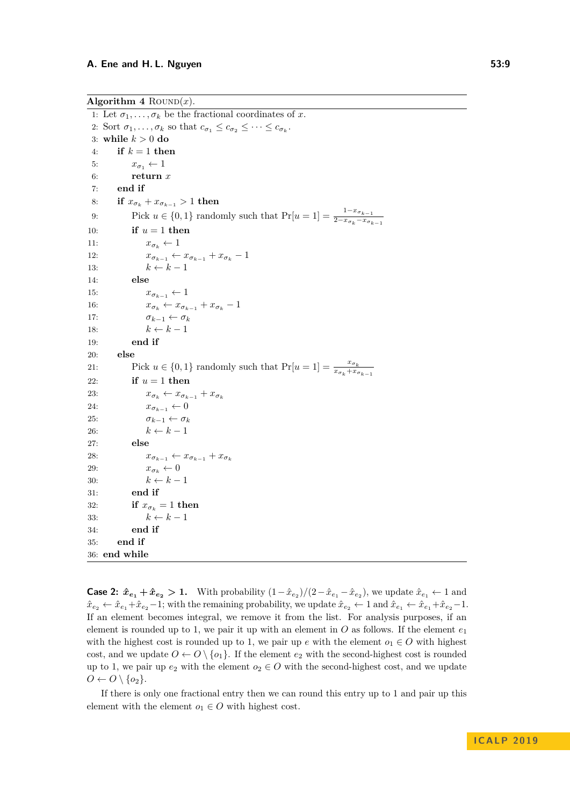<span id="page-8-0"></span>Algorithm  $4$  ROUND $(x)$ .

1: Let  $\sigma_1, \ldots, \sigma_k$  be the fractional coordinates of *x*. 2: Sort  $\sigma_1, \ldots, \sigma_k$  so that  $c_{\sigma_1} \leq c_{\sigma_2} \leq \cdots \leq c_{\sigma_k}$ . 3: **while** *k >* 0 **do** 4: **if**  $k = 1$  **then** 5:  $x_{\sigma_1} \leftarrow 1$ 6: **return** *x* 7: **end if** 8: **if**  $x_{\sigma_k} + x_{\sigma_{k-1}} > 1$  then 9: Pick  $u \in \{0, 1\}$  randomly such that  $Pr[u = 1] = \frac{1 - x_{\sigma_{k-1}}}{2 - x_{\sigma_k} - x_{\sigma_{k-1}}}$ 10: **if**  $u = 1$  **then** 11:  $x_{\sigma_k} \leftarrow 1$ 12:  $x_{\sigma_{k-1}} \leftarrow x_{\sigma_{k-1}} + x_{\sigma_k} - 1$ 13:  $k \leftarrow k - 1$ 14: **else** 15:  $x_{\sigma_{k-1}} \leftarrow 1$ 16:  $x_{\sigma_k} \leftarrow x_{\sigma_{k-1}} + x_{\sigma_k} - 1$ 17:  $\sigma_{k-1} \leftarrow \sigma_k$ 18:  $k \leftarrow k - 1$ 19: **end if** 20: **else** 21: Pick  $u \in \{0, 1\}$  randomly such that  $Pr[u = 1] = \frac{x_{\sigma_k}}{x_{\sigma_k} + x_{\sigma_{k-1}}}$ 22: **if**  $u = 1$  **then** 23:  $x_{\sigma_k} \leftarrow x_{\sigma_{k-1}} + x_{\sigma_k}$ 24:  $x_{\sigma_{k-1}} \leftarrow 0$ 25:  $\sigma_{k-1} \leftarrow \sigma_k$ 26:  $k \leftarrow k-1$ 27: **else** 28:  $x_{\sigma_{k-1}} \leftarrow x_{\sigma_{k-1}} + x_{\sigma_k}$ 29:  $x_{\sigma_k} \leftarrow 0$ 30:  $k \leftarrow k - 1$ 31: **end if** 32: **if**  $x_{\sigma_k} = 1$  **then** 33:  $k \leftarrow k - 1$ 34: **end if** 35: **end if** 36: **end while**

**Case 2:**  $\hat{x}_{e_1} + \hat{x}_{e_2} > 1$ . With probability  $(1 - \hat{x}_{e_2})/(2 - \hat{x}_{e_1} - \hat{x}_{e_2})$ , we update  $\hat{x}_{e_1} \leftarrow 1$  and  $\hat{x}_{e_2} \leftarrow \hat{x}_{e_1} + \hat{x}_{e_2} - 1$ ; with the remaining probability, we update  $\hat{x}_{e_2} \leftarrow 1$  and  $\hat{x}_{e_1} \leftarrow \hat{x}_{e_1} + \hat{x}_{e_2} - 1$ . If an element becomes integral, we remove it from the list. For analysis purposes, if an element is rounded up to 1, we pair it up with an element in  $O$  as follows. If the element  $e_1$ with the highest cost is rounded up to 1, we pair up  $e$  with the element  $o_1 \in O$  with highest cost, and we update  $O \leftarrow O \setminus \{o_1\}$ . If the element  $e_2$  with the second-highest cost is rounded up to 1, we pair up  $e_2$  with the element  $o_2 \in O$  with the second-highest cost, and we update  $O \leftarrow O \setminus \{o_2\}.$ 

If there is only one fractional entry then we can round this entry up to 1 and pair up this element with the element  $o_1 \in O$  with highest cost.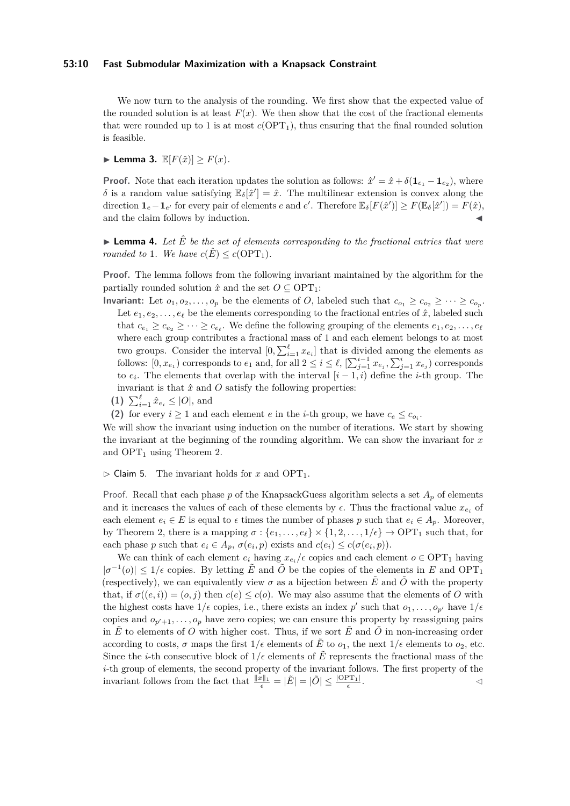#### **53:10 Fast Submodular Maximization with a Knapsack Constraint**

We now turn to the analysis of the rounding. We first show that the expected value of the rounded solution is at least  $F(x)$ . We then show that the cost of the fractional elements that were rounded up to 1 is at most  $c(OPT_1)$ , thus ensuring that the final rounded solution is feasible.

 $\blacktriangleright$  Lemma 3.  $\mathbb{E}[F(\hat{x})] \geq F(x)$ .

**Proof.** Note that each iteration updates the solution as follows:  $\hat{x}' = \hat{x} + \delta(\mathbf{1}_{e_1} - \mathbf{1}_{e_2})$ , where *δ* is a random value satisfying  $\mathbb{E}_{\delta}[\hat{x}^{\prime}] = \hat{x}$ . The multilinear extension is convex along the direction  $\mathbf{1}_e - \mathbf{1}_{e'}$  for every pair of elements *e* and *e'*. Therefore  $\mathbb{E}_{\delta}[F(\hat{x}')] \geq F(\mathbb{E}_{\delta}[\hat{x}']) = F(\hat{x})$ , and the claim follows by induction.

**Lemma 4.** Let  $\hat{E}$  be the set of elements corresponding to the fractional entries that were *rounded to* 1*.* We have  $c(\hat{E}) \leq c(\text{OPT}_1)$ *.* 

**Proof.** The lemma follows from the following invariant maintained by the algorithm for the partially rounded solution  $\hat{x}$  and the set  $O \subseteq \text{OPT}_1$ :

- **Invariant:** Let  $o_1, o_2, \ldots, o_p$  be the elements of *O*, labeled such that  $c_{o_1} \geq c_{o_2} \geq \cdots \geq c_{o_p}$ . Let  $e_1, e_2, \ldots, e_\ell$  be the elements corresponding to the fractional entries of  $\hat{x}$ , labeled such that  $c_{e_1} \geq c_{e_2} \geq \cdots \geq c_{e_\ell}$ . We define the following grouping of the elements  $e_1, e_2, \ldots, e_\ell$ where each group contributes a fractional mass of 1 and each element belongs to at most two groups. Consider the interval  $[0, \sum_{i=1}^{\ell} x_{e_i}]$  that is divided among the elements as follows:  $[0, x_{e_1})$  corresponds to  $e_1$  and, for all  $2 \leq i \leq \ell$ ,  $[\sum_{j=1}^{i-1} x_{e_j}, \sum_{j=1}^{i} x_{e_j}]$  corresponds to  $e_i$ . The elements that overlap with the interval  $[i-1, i)$  define the *i*-th group. The invariant is that  $\hat{x}$  and  $\hat{O}$  satisfy the following properties:
	- **(1)**  $\sum_{i=1}^{\ell} \hat{x}_{e_i} \leq |O|$ , and

(2) for every  $i \geq 1$  and each element *e* in the *i*-th group, we have  $c_e \leq c_{o_i}$ .

We will show the invariant using induction on the number of iterations. We start by showing the invariant at the beginning of the rounding algorithm. We can show the invariant for *x* and  $OPT_1$  using Theorem [2.](#page-6-0)

 $\triangleright$  Claim 5. The invariant holds for *x* and OPT<sub>1</sub>.

Proof. Recall that each phase  $p$  of the KnapsackGuess algorithm selects a set  $A_p$  of elements and it increases the values of each of these elements by  $\epsilon$ . Thus the fractional value  $x_{e_i}$  of each element  $e_i \in E$  is equal to  $\epsilon$  times the number of phases p such that  $e_i \in A_p$ . Moreover, by Theorem [2,](#page-6-0) there is a mapping  $\sigma : \{e_1, \ldots, e_\ell\} \times \{1, 2, \ldots, 1/\epsilon\} \to \text{OPT}_1$  such that, for each phase *p* such that  $e_i \in A_p$ ,  $\sigma(e_i, p)$  exists and  $c(e_i) \leq c(\sigma(e_i, p))$ .

We can think of each element  $e_i$  having  $x_{e_i}/\epsilon$  copies and each element  $o \in \text{OPT}_1$  having  $|\sigma^{-1}(o)| \leq 1/\epsilon$  copies. By letting  $\tilde{E}$  and  $\tilde{O}$  be the copies of the elements in *E* and OPT<sub>1</sub> (respectively), we can equivalently view  $\sigma$  as a bijection between  $\tilde{E}$  and  $\tilde{O}$  with the property that, if  $\sigma((e, i)) = (o, j)$  then  $c(e) \leq c(o)$ . We may also assume that the elements of *O* with the highest costs have  $1/\epsilon$  copies, i.e., there exists an index  $p'$  such that  $o_1, \ldots, o_{p'}$  have  $1/\epsilon$ copies and  $o_{p'+1}, \ldots, o_p$  have zero copies; we can ensure this property by reassigning pairs in  $\tilde{E}$  to elements of *O* with higher cost. Thus, if we sort  $\tilde{E}$  and  $\tilde{O}$  in non-increasing order according to costs,  $\sigma$  maps the first  $1/\epsilon$  elements of  $\tilde{E}$  to  $o_1$ , the next  $1/\epsilon$  elements to  $o_2$ , etc. Since the *i*-th consecutive block of  $1/\epsilon$  elements of  $\tilde{E}$  represents the fractional mass of the *i*-th group of elements, the second property of the invariant follows. The first property of the invariant follows from the fact that  $\frac{||x||_1}{\epsilon} = |\tilde{E}| = |\tilde{O}| \le \frac{|\text{OPT}_1|}{\epsilon}$ .  $\triangleleft$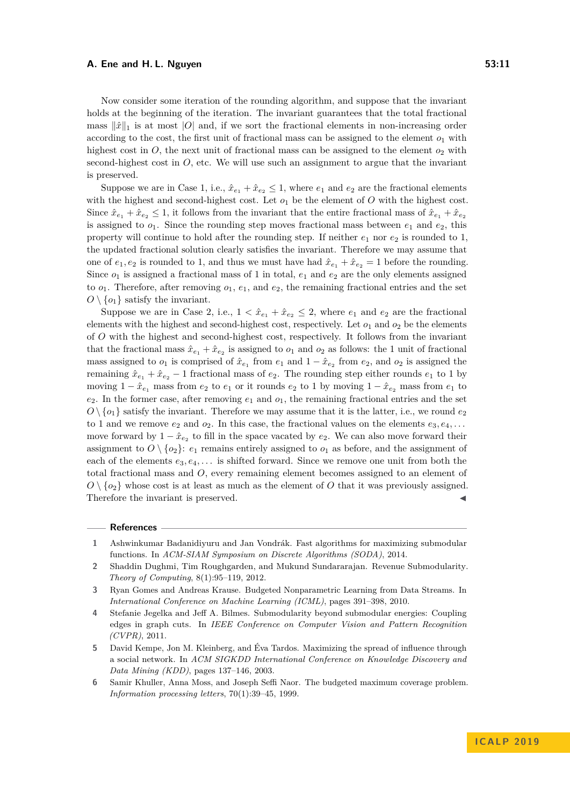#### **A. Ene and H. L. Nguyen 53:11**

Now consider some iteration of the rounding algorithm, and suppose that the invariant holds at the beginning of the iteration. The invariant guarantees that the total fractional mass  $\|\hat{x}\|_1$  is at most  $|O|$  and, if we sort the fractional elements in non-increasing order according to the cost, the first unit of fractional mass can be assigned to the element  $o_1$  with highest cost in  $O$ , the next unit of fractional mass can be assigned to the element  $o_2$  with second-highest cost in  $O$ , etc. We will use such an assignment to argue that the invariant is preserved.

Suppose we are in Case 1, i.e.,  $\hat{x}_{e_1} + \hat{x}_{e_2} \leq 1$ , where  $e_1$  and  $e_2$  are the fractional elements with the highest and second-highest cost. Let  $o_1$  be the element of  $O$  with the highest cost. Since  $\hat{x}_{e_1} + \hat{x}_{e_2} \leq 1$ , it follows from the invariant that the entire fractional mass of  $\hat{x}_{e_1} + \hat{x}_{e_2}$ is assigned to  $o_1$ . Since the rounding step moves fractional mass between  $e_1$  and  $e_2$ , this property will continue to hold after the rounding step. If neither *e*<sup>1</sup> nor *e*<sup>2</sup> is rounded to 1, the updated fractional solution clearly satisfies the invariant. Therefore we may assume that one of  $e_1, e_2$  is rounded to 1, and thus we must have had  $\hat{x}_{e_1} + \hat{x}_{e_2} = 1$  before the rounding. Since  $o_1$  is assigned a fractional mass of 1 in total,  $e_1$  and  $e_2$  are the only elements assigned to  $o_1$ . Therefore, after removing  $o_1$ ,  $e_1$ , and  $e_2$ , the remaining fractional entries and the set  $O \setminus \{o_1\}$  satisfy the invariant.

Suppose we are in Case 2, i.e.,  $1 < \hat{x}_{e_1} + \hat{x}_{e_2} \le 2$ , where  $e_1$  and  $e_2$  are the fractional elements with the highest and second-highest cost, respectively. Let  $o_1$  and  $o_2$  be the elements of *O* with the highest and second-highest cost, respectively. It follows from the invariant that the fractional mass  $\hat{x}_{e_1} + \hat{x}_{e_2}$  is assigned to  $o_1$  and  $o_2$  as follows: the 1 unit of fractional mass assigned to  $o_1$  is comprised of  $\hat{x}_{e_1}$  from  $e_1$  and  $1 - \hat{x}_{e_2}$  from  $e_2$ , and  $o_2$  is assigned the remaining  $\hat{x}_{e_1} + \hat{x}_{e_2} - 1$  fractional mass of  $e_2$ . The rounding step either rounds  $e_1$  to 1 by moving  $1 - \hat{x}_{e_1}$  mass from  $e_2$  to  $e_1$  or it rounds  $e_2$  to 1 by moving  $1 - \hat{x}_{e_2}$  mass from  $e_1$  to  $e_2$ . In the former case, after removing  $e_1$  and  $o_1$ , the remaining fractional entries and the set  $O \setminus \{o_1\}$  satisfy the invariant. Therefore we may assume that it is the latter, i.e., we round  $e_2$ to 1 and we remove  $e_2$  and  $o_2$ . In this case, the fractional values on the elements  $e_3, e_4, \ldots$ move forward by  $1 - \hat{x}_{e_2}$  to fill in the space vacated by  $e_2$ . We can also move forward their assignment to  $O \setminus \{o_2\}$ :  $e_1$  remains entirely assigned to  $o_1$  as before, and the assignment of each of the elements *e*3*, e*4*, . . .* is shifted forward. Since we remove one unit from both the total fractional mass and *O*, every remaining element becomes assigned to an element of  $O \setminus \{o_2\}$  whose cost is at least as much as the element of *O* that it was previously assigned. Therefore the invariant is preserved.

#### **References**

- <span id="page-10-5"></span>**1** Ashwinkumar Badanidiyuru and Jan Vondrák. Fast algorithms for maximizing submodular functions. In *ACM-SIAM Symposium on Discrete Algorithms (SODA)*, 2014.
- <span id="page-10-2"></span>**2** Shaddin Dughmi, Tim Roughgarden, and Mukund Sundararajan. Revenue Submodularity. *Theory of Computing*, 8(1):95–119, 2012.
- <span id="page-10-0"></span>**3** Ryan Gomes and Andreas Krause. Budgeted Nonparametric Learning from Data Streams. In *International Conference on Machine Learning (ICML)*, pages 391–398, 2010.
- <span id="page-10-1"></span>**4** Stefanie Jegelka and Jeff A. Bilmes. Submodularity beyond submodular energies: Coupling edges in graph cuts. In *IEEE Conference on Computer Vision and Pattern Recognition (CVPR)*, 2011.
- <span id="page-10-3"></span>**5** David Kempe, Jon M. Kleinberg, and Éva Tardos. Maximizing the spread of influence through a social network. In *ACM SIGKDD International Conference on Knowledge Discovery and Data Mining (KDD)*, pages 137–146, 2003.
- <span id="page-10-4"></span>**6** Samir Khuller, Anna Moss, and Joseph Seffi Naor. The budgeted maximum coverage problem. *Information processing letters*, 70(1):39–45, 1999.